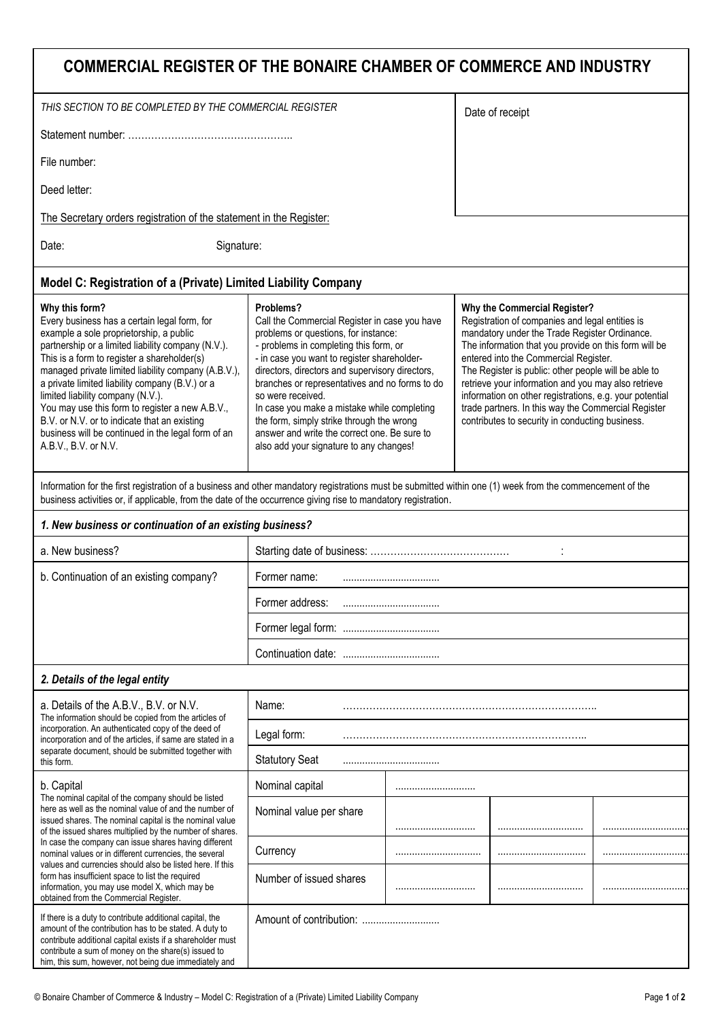| COMMERCIAL REGISTER OF THE BONAIRE CHAMBER OF COMMERCE AND INDUSTRY                                                                                                                                                                                                                                                                                                                                                                                                                                                                                                                |                                                                                                                                                                                                                                                                                                                                                                                                                                                                                                              |  |                                                                                                                                                                                                                                                                                                                                                                                                                                                                                                                        |  |  |  |
|------------------------------------------------------------------------------------------------------------------------------------------------------------------------------------------------------------------------------------------------------------------------------------------------------------------------------------------------------------------------------------------------------------------------------------------------------------------------------------------------------------------------------------------------------------------------------------|--------------------------------------------------------------------------------------------------------------------------------------------------------------------------------------------------------------------------------------------------------------------------------------------------------------------------------------------------------------------------------------------------------------------------------------------------------------------------------------------------------------|--|------------------------------------------------------------------------------------------------------------------------------------------------------------------------------------------------------------------------------------------------------------------------------------------------------------------------------------------------------------------------------------------------------------------------------------------------------------------------------------------------------------------------|--|--|--|
| THIS SECTION TO BE COMPLETED BY THE COMMERCIAL REGISTER                                                                                                                                                                                                                                                                                                                                                                                                                                                                                                                            |                                                                                                                                                                                                                                                                                                                                                                                                                                                                                                              |  | Date of receipt                                                                                                                                                                                                                                                                                                                                                                                                                                                                                                        |  |  |  |
|                                                                                                                                                                                                                                                                                                                                                                                                                                                                                                                                                                                    |                                                                                                                                                                                                                                                                                                                                                                                                                                                                                                              |  |                                                                                                                                                                                                                                                                                                                                                                                                                                                                                                                        |  |  |  |
| File number:                                                                                                                                                                                                                                                                                                                                                                                                                                                                                                                                                                       |                                                                                                                                                                                                                                                                                                                                                                                                                                                                                                              |  |                                                                                                                                                                                                                                                                                                                                                                                                                                                                                                                        |  |  |  |
| Deed letter:                                                                                                                                                                                                                                                                                                                                                                                                                                                                                                                                                                       |                                                                                                                                                                                                                                                                                                                                                                                                                                                                                                              |  |                                                                                                                                                                                                                                                                                                                                                                                                                                                                                                                        |  |  |  |
| The Secretary orders registration of the statement in the Register:                                                                                                                                                                                                                                                                                                                                                                                                                                                                                                                |                                                                                                                                                                                                                                                                                                                                                                                                                                                                                                              |  |                                                                                                                                                                                                                                                                                                                                                                                                                                                                                                                        |  |  |  |
| Date:<br>Signature:                                                                                                                                                                                                                                                                                                                                                                                                                                                                                                                                                                |                                                                                                                                                                                                                                                                                                                                                                                                                                                                                                              |  |                                                                                                                                                                                                                                                                                                                                                                                                                                                                                                                        |  |  |  |
| Model C: Registration of a (Private) Limited Liability Company                                                                                                                                                                                                                                                                                                                                                                                                                                                                                                                     |                                                                                                                                                                                                                                                                                                                                                                                                                                                                                                              |  |                                                                                                                                                                                                                                                                                                                                                                                                                                                                                                                        |  |  |  |
| Why this form?<br>Every business has a certain legal form, for<br>example a sole proprietorship, a public<br>partnership or a limited liability company (N.V.).<br>This is a form to register a shareholder(s)<br>managed private limited liability company (A.B.V.),<br>a private limited liability company (B.V.) or a<br>limited liability company (N.V.).<br>You may use this form to register a new A.B.V.,<br>B.V. or N.V. or to indicate that an existing<br>business will be continued in the legal form of an<br>A.B.V., B.V. or N.V.                                     | Problems?<br>Call the Commercial Register in case you have<br>problems or questions, for instance:<br>- problems in completing this form, or<br>- in case you want to register shareholder-<br>directors, directors and supervisory directors,<br>branches or representatives and no forms to do<br>so were received.<br>In case you make a mistake while completing<br>the form, simply strike through the wrong<br>answer and write the correct one. Be sure to<br>also add your signature to any changes! |  | Why the Commercial Register?<br>Registration of companies and legal entities is<br>mandatory under the Trade Register Ordinance.<br>The information that you provide on this form will be<br>entered into the Commercial Register.<br>The Register is public: other people will be able to<br>retrieve your information and you may also retrieve<br>information on other registrations, e.g. your potential<br>trade partners. In this way the Commercial Register<br>contributes to security in conducting business. |  |  |  |
| Information for the first registration of a business and other mandatory registrations must be submitted within one (1) week from the commencement of the<br>business activities or, if applicable, from the date of the occurrence giving rise to mandatory registration.                                                                                                                                                                                                                                                                                                         |                                                                                                                                                                                                                                                                                                                                                                                                                                                                                                              |  |                                                                                                                                                                                                                                                                                                                                                                                                                                                                                                                        |  |  |  |
| 1. New business or continuation of an existing business?                                                                                                                                                                                                                                                                                                                                                                                                                                                                                                                           |                                                                                                                                                                                                                                                                                                                                                                                                                                                                                                              |  |                                                                                                                                                                                                                                                                                                                                                                                                                                                                                                                        |  |  |  |
| a. New business?                                                                                                                                                                                                                                                                                                                                                                                                                                                                                                                                                                   |                                                                                                                                                                                                                                                                                                                                                                                                                                                                                                              |  |                                                                                                                                                                                                                                                                                                                                                                                                                                                                                                                        |  |  |  |
| b. Continuation of an existing company?                                                                                                                                                                                                                                                                                                                                                                                                                                                                                                                                            | Former name:<br>                                                                                                                                                                                                                                                                                                                                                                                                                                                                                             |  |                                                                                                                                                                                                                                                                                                                                                                                                                                                                                                                        |  |  |  |
|                                                                                                                                                                                                                                                                                                                                                                                                                                                                                                                                                                                    | Former address:                                                                                                                                                                                                                                                                                                                                                                                                                                                                                              |  |                                                                                                                                                                                                                                                                                                                                                                                                                                                                                                                        |  |  |  |
|                                                                                                                                                                                                                                                                                                                                                                                                                                                                                                                                                                                    |                                                                                                                                                                                                                                                                                                                                                                                                                                                                                                              |  |                                                                                                                                                                                                                                                                                                                                                                                                                                                                                                                        |  |  |  |
|                                                                                                                                                                                                                                                                                                                                                                                                                                                                                                                                                                                    |                                                                                                                                                                                                                                                                                                                                                                                                                                                                                                              |  |                                                                                                                                                                                                                                                                                                                                                                                                                                                                                                                        |  |  |  |
| 2. Details of the legal entity                                                                                                                                                                                                                                                                                                                                                                                                                                                                                                                                                     |                                                                                                                                                                                                                                                                                                                                                                                                                                                                                                              |  |                                                                                                                                                                                                                                                                                                                                                                                                                                                                                                                        |  |  |  |
| a. Details of the A.B.V., B.V. or N.V.<br>The information should be copied from the articles of<br>incorporation. An authenticated copy of the deed of<br>incorporation and of the articles, if same are stated in a<br>separate document, should be submitted together with<br>this form.                                                                                                                                                                                                                                                                                         | Name:                                                                                                                                                                                                                                                                                                                                                                                                                                                                                                        |  |                                                                                                                                                                                                                                                                                                                                                                                                                                                                                                                        |  |  |  |
|                                                                                                                                                                                                                                                                                                                                                                                                                                                                                                                                                                                    | Legal form:                                                                                                                                                                                                                                                                                                                                                                                                                                                                                                  |  |                                                                                                                                                                                                                                                                                                                                                                                                                                                                                                                        |  |  |  |
|                                                                                                                                                                                                                                                                                                                                                                                                                                                                                                                                                                                    | <b>Statutory Seat</b>                                                                                                                                                                                                                                                                                                                                                                                                                                                                                        |  |                                                                                                                                                                                                                                                                                                                                                                                                                                                                                                                        |  |  |  |
| b. Capital<br>The nominal capital of the company should be listed<br>here as well as the nominal value of and the number of<br>issued shares. The nominal capital is the nominal value<br>of the issued shares multiplied by the number of shares.<br>In case the company can issue shares having different<br>nominal values or in different currencies, the several<br>values and currencies should also be listed here. If this<br>form has insufficient space to list the required<br>information, you may use model X, which may be<br>obtained from the Commercial Register. | Nominal capital                                                                                                                                                                                                                                                                                                                                                                                                                                                                                              |  |                                                                                                                                                                                                                                                                                                                                                                                                                                                                                                                        |  |  |  |
|                                                                                                                                                                                                                                                                                                                                                                                                                                                                                                                                                                                    | Nominal value per share                                                                                                                                                                                                                                                                                                                                                                                                                                                                                      |  |                                                                                                                                                                                                                                                                                                                                                                                                                                                                                                                        |  |  |  |
|                                                                                                                                                                                                                                                                                                                                                                                                                                                                                                                                                                                    | Currency                                                                                                                                                                                                                                                                                                                                                                                                                                                                                                     |  |                                                                                                                                                                                                                                                                                                                                                                                                                                                                                                                        |  |  |  |
|                                                                                                                                                                                                                                                                                                                                                                                                                                                                                                                                                                                    | Number of issued shares                                                                                                                                                                                                                                                                                                                                                                                                                                                                                      |  |                                                                                                                                                                                                                                                                                                                                                                                                                                                                                                                        |  |  |  |
| If there is a duty to contribute additional capital, the<br>amount of the contribution has to be stated. A duty to<br>contribute additional capital exists if a shareholder must<br>contribute a sum of money on the share(s) issued to<br>him, this sum, however, not being due immediately and                                                                                                                                                                                                                                                                                   |                                                                                                                                                                                                                                                                                                                                                                                                                                                                                                              |  |                                                                                                                                                                                                                                                                                                                                                                                                                                                                                                                        |  |  |  |